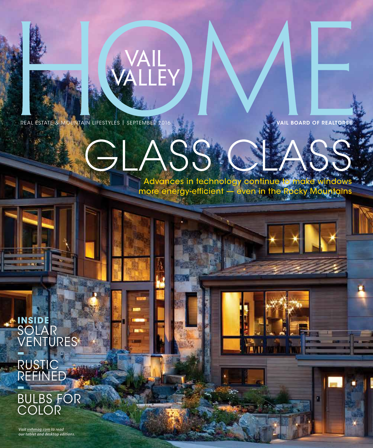

REAL ESTATE & MOUNTAIN LIFESTYLES | SEPTEMBER 2016 VAN ALL BOARD OF REALTORS®

H

## GLASS CLASS Advances in technology continue to make windows

EY

Advances in technology common windows windows more energy-efficient and the Rocky Mountains  $\mathbb{R}^n$ more energy-efficient — even in the Rocky Mountains

**INSIDE** SOLAR VENTURES **– RUSTIC** REFINED **–**

BULBS FOR COLOR

**Visit vvhmag.com to read our tablet and desktop editions.**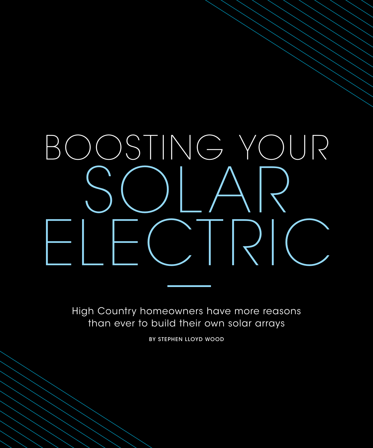# BOOSTING YOUR SOLAR ELECTRIC

High Country homeowners have more reasons than ever to build their own solar arrays

BY STEPHEN LLOYD WOOD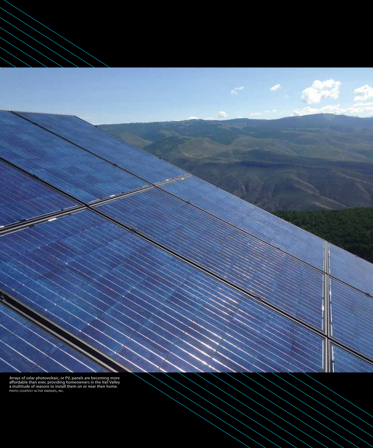Arrays of solar photovoltaic, or PV, panels are becoming more affordable than ever, providing homeowners in the Vail Valley a multitude of reasons to install them on or near their home. PHOTO COURTESY ACTIVE ENERGIES, INC.

é3

a

D<sup>e</sup>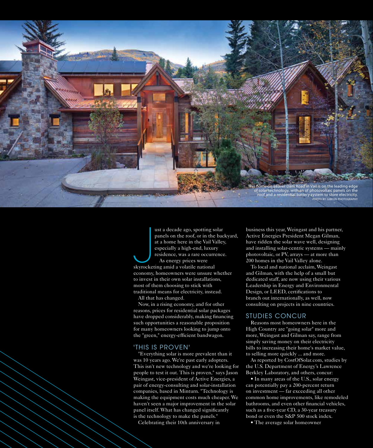

ust a decade ago, spotting sc<br>
panels on the roof, or in the<br>
at a home here in the Vail V<sub>i</sub><br>
especially a high-end, luxur<br>
residence, was a rare occurre<br>
As energy prices were<br>
skyrocketing amid a volatile national<br>
maxi ust a decade ago, spotting solar panels on the roof, or in the backyard, at a home here in the Vail Valley, especially a high-end, luxury residence, was a rare occurrence. As energy prices were economy, homeowners were unsure whether to invest in their own solar installations, most of them choosing to stick with traditional means for electricity, instead. All that has changed.

Now, in a rising economy, and for other reasons, prices for residential solar packages have dropped considerably, making fnancing such opportunities a reasonable proposition for many homeowners looking to jump onto the "green," energy-efficient bandwagon.

#### 'THIS IS PROVEN'

"Everything solar is more prevalent than it was 10 years ago. We're past early adopters. This isn't new technology and we're looking for people to test it out. This is proven," says Jason Weingast, vice-president of Active Energies, a pair of energy-consulting and solar-installation companies, based in Minturn. "Technology is making the equipment costs much cheaper. We haven't seen a major improvement in the solar panel itself. What has changed signifcantly is the technology to make the panels."

Celebrating their 10th anniversary in

business this year, Weingast and his partner, Active Energies President Megan Gilman, have ridden the solar wave well, designing and installing solar-centric systems — mainly photovoltaic, or PV, arrays — at more than 200 homes in the Vail Valley alone.

To local and national acclaim, Weingast and Gilman, with the help of a small but dedicated staff, are now using their various Leadership in Energy and Environmental Design, or LEED, certifcations to branch out internationally, as well, now consulting on projects in nine countries.

#### STUDIES CONCUR

Reasons most homeowners here in the High Country are "going solar" more and more, Weingast and Gilman say, range from simply saving money on their electricity bills to increasing their home's market value, to selling more quickly ... and more.

As reported by CostOfSolar.com, studies by the U.S. Department of Energy's Lawrence Berkley Laboratory, and others, concur:

• In many areas of the U.S., solar energy can potentially pay a 200-percent return on investment — far exceeding all other common home improvements, like remodeled bathrooms, and even other fnancial vehicles, such as a fve-year CD, a 30-year treasury bond or even the S&P 500 stock index.

• The average solar homeowner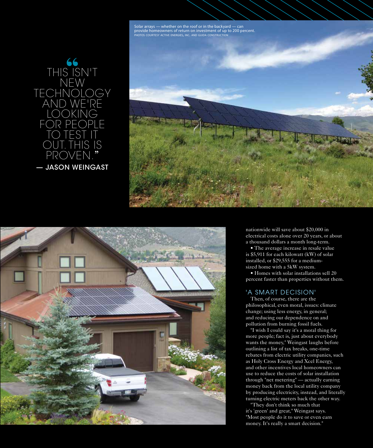Solar arrays — whether on the roof or in the backyard — can HOTOS COURTESY ACTIVE ENERGIES, INC. AND GUIDA CONSTRUCTION







nationwide will save about \$20,000 in electrical costs alone over 20 years, or about a thousand dollars a month long-term.

• The average increase in resale value is \$5,911 for each kilowatt (kW) of solar installed, or \$29,555 for a mediumsized home with a 5kW system.

• Homes with solar installations sell 20 percent faster than properties without them.

#### 'A SMART DECISION'

Then, of course, there are the philosophical, even moral, issues: climate change; using less energy, in general; and reducing our dependence on and pollution from burning fossil fuels.

"I wish I could say it's a moral thing for more people; fact is, just about everybody wants the money," Weingast laughs before outlining a list of tax breaks, one-time rebates from electric utility companies, such as Holy Cross Energy and Xcel Energy, and other incentives local homeowners can use to reduce the costs of solar installation through "net metering" — actually earning money back from the local utility company by producing electricity, instead, and literally turning electric meters back the other way.

"They don't think so much that it's 'green' and great," Weingast says. "Most people do it to save or even earn money. It's really a smart decision."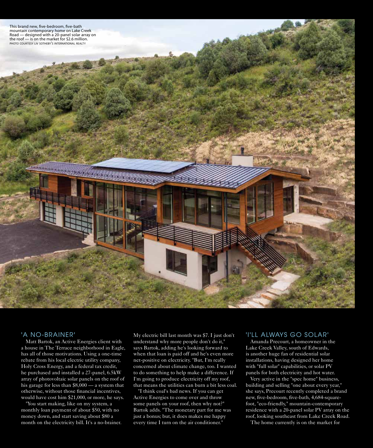

#### 'A NO-BRAINER'

Matt Bartok, an Active Energies client with a house in The Terrace neighborhood in Eagle, has all of those motivations. Using a one-time rebate from his local electric utility company, Holy Cross Energy, and a federal tax credit, he purchased and installed a 27-panel, 6.5kW array of photovoltaic solar panels on the roof of his garage for less than \$8,000 — a system that otherwise, without those fnancial incentives, would have cost him \$21,000, or more, he says.

"You start making, like on my system, a monthly loan payment of about \$50, with no money down, and start saving about \$80 a month on the electricity bill. It's a no-brainer. My electric bill last month was \$7. I just don't understand why more people don't do it," says Bartok, adding he's looking forward to when that loan is paid off and he's even more net-positive on electricity. "But, I'm really concerned about climate change, too. I wanted to do something to help make a difference. If I'm going to produce electricity off my roof, that means the utilities can burn a bit less coal.

"I think coal's bad news. If you can get Active Energies to come over and throw some panels on your roof, then why not?" Bartok adds. "The monetary part for me was just a bonus; but, it does makes me happy every time I turn on the air conditioner."

#### 'I'LL ALWAYS GO SOLAR'

Amanda Precourt, a homeowner in the Lake Creek Valley, south of Edwards, is another huge fan of residential solar installations, having designed her home with "full solar" capabilities, or solar PV panels for both electricity and hot water.

Very active in the "spec home" business, building and selling "one about every year," she says, Precourt recently completed a brand new, fve-bedroom, fve-bath, 4,684-squarefoot, "eco-friendly," mountain-contemporary residence with a 20-panel solar PV array on the roof, looking southeast from Lake Creek Road.

The home currently is on the market for